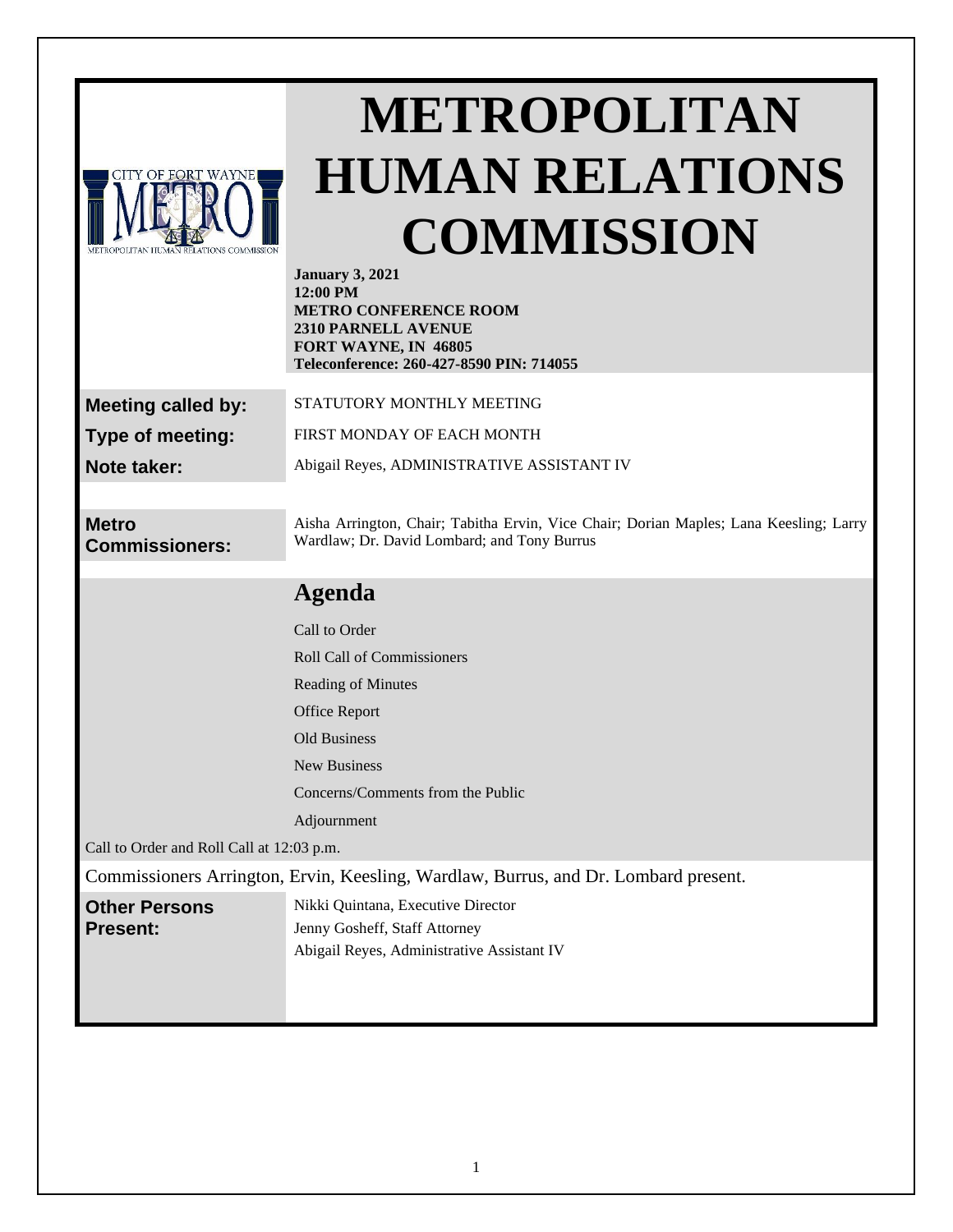| CITY OF FORT WAYNE                                                                  | METROPOLITAN<br><b>HUMAN RELATIONS</b><br><b>COMMISSION</b><br><b>January 3, 2021</b><br>$12:00$ PM<br><b>METRO CONFERENCE ROOM</b><br>2310 PARNELL AVENUE<br>FORT WAYNE, IN 46805<br>Teleconference: 260-427-8590 PIN: 714055 |
|-------------------------------------------------------------------------------------|--------------------------------------------------------------------------------------------------------------------------------------------------------------------------------------------------------------------------------|
| <b>Meeting called by:</b>                                                           | STATUTORY MONTHLY MEETING                                                                                                                                                                                                      |
| Type of meeting:                                                                    | FIRST MONDAY OF EACH MONTH                                                                                                                                                                                                     |
| Note taker:                                                                         | Abigail Reyes, ADMINISTRATIVE ASSISTANT IV                                                                                                                                                                                     |
|                                                                                     |                                                                                                                                                                                                                                |
| <b>Metro</b><br><b>Commissioners:</b>                                               | Aisha Arrington, Chair; Tabitha Ervin, Vice Chair; Dorian Maples; Lana Keesling; Larry<br>Wardlaw; Dr. David Lombard; and Tony Burrus                                                                                          |
|                                                                                     | <b>Agenda</b>                                                                                                                                                                                                                  |
|                                                                                     | Call to Order                                                                                                                                                                                                                  |
|                                                                                     | <b>Roll Call of Commissioners</b>                                                                                                                                                                                              |
|                                                                                     | Reading of Minutes                                                                                                                                                                                                             |
|                                                                                     | <b>Office Report</b>                                                                                                                                                                                                           |
|                                                                                     | <b>Old Business</b>                                                                                                                                                                                                            |
|                                                                                     | New Business                                                                                                                                                                                                                   |
|                                                                                     | Concerns/Comments from the Public                                                                                                                                                                                              |
| Call to Order and Roll Call at 12:03 p.m.                                           | Adjournment                                                                                                                                                                                                                    |
| Commissioners Arrington, Ervin, Keesling, Wardlaw, Burrus, and Dr. Lombard present. |                                                                                                                                                                                                                                |
| <b>Other Persons</b><br><b>Present:</b>                                             | Nikki Quintana, Executive Director<br>Jenny Gosheff, Staff Attorney<br>Abigail Reyes, Administrative Assistant IV                                                                                                              |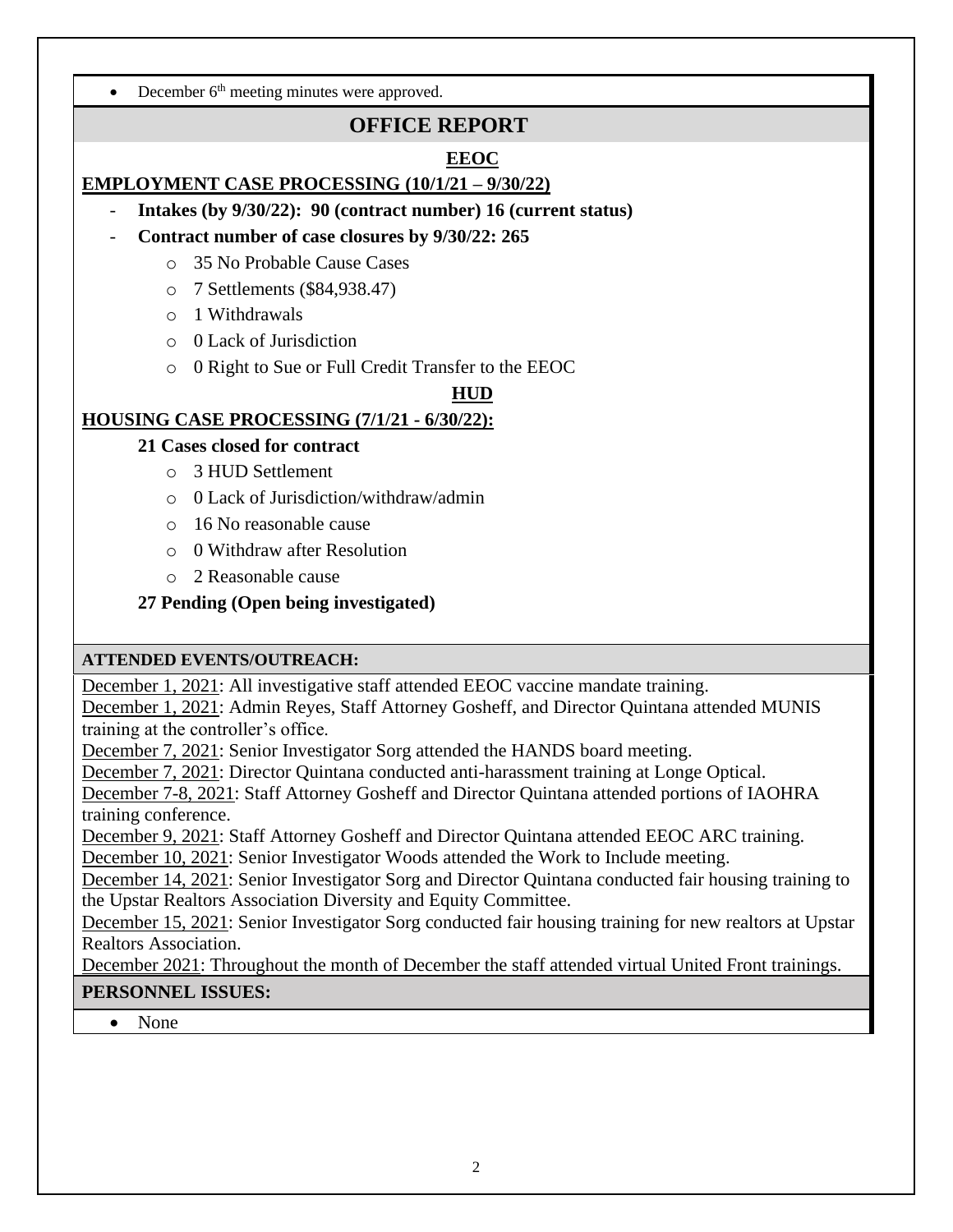• December  $6<sup>th</sup>$  meeting minutes were approved.

# **OFFICE REPORT**

## **EEOC**

## **EMPLOYMENT CASE PROCESSING (10/1/21 – 9/30/22)**

- **Intakes (by 9/30/22): 90 (contract number) 16 (current status)**
- **Contract number of case closures by 9/30/22: 265**
	- o 35 No Probable Cause Cases
	- o 7 Settlements (\$84,938.47)
	- o 1 Withdrawals
	- o 0 Lack of Jurisdiction
	- o 0 Right to Sue or Full Credit Transfer to the EEOC

### **HUD**

## **HOUSING CASE PROCESSING (7/1/21 - 6/30/22):**

- **21 Cases closed for contract**
	- o 3 HUD Settlement
	- o 0 Lack of Jurisdiction/withdraw/admin
	- o 16 No reasonable cause
	- o 0 Withdraw after Resolution
	- o 2 Reasonable cause
- **27 Pending (Open being investigated)**

## **ATTENDED EVENTS/OUTREACH:**

December 1, 2021: All investigative staff attended EEOC vaccine mandate training.

December 1, 2021: Admin Reyes, Staff Attorney Gosheff, and Director Quintana attended MUNIS training at the controller's office.

December 7, 2021: Senior Investigator Sorg attended the HANDS board meeting.

December 7, 2021: Director Quintana conducted anti-harassment training at Longe Optical.

December 7-8, 2021: Staff Attorney Gosheff and Director Quintana attended portions of IAOHRA training conference.

December 9, 2021: Staff Attorney Gosheff and Director Quintana attended EEOC ARC training.

December 10, 2021: Senior Investigator Woods attended the Work to Include meeting.

December 14, 2021: Senior Investigator Sorg and Director Quintana conducted fair housing training to the Upstar Realtors Association Diversity and Equity Committee.

December 15, 2021: Senior Investigator Sorg conducted fair housing training for new realtors at Upstar Realtors Association.

December 2021: Throughout the month of December the staff attended virtual United Front trainings.

## **PERSONNEL ISSUES:**

• None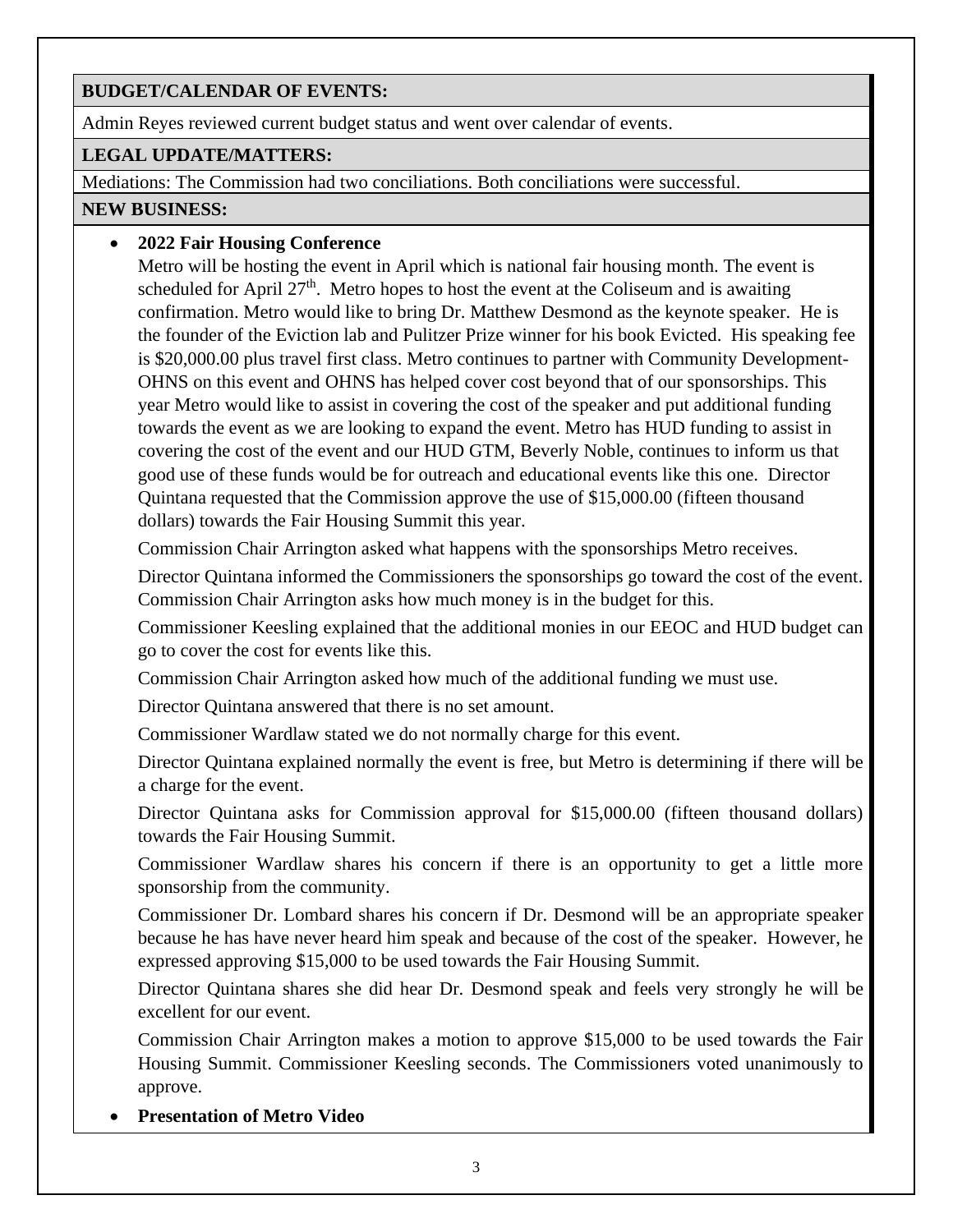### **BUDGET/CALENDAR OF EVENTS:**

Admin Reyes reviewed current budget status and went over calendar of events.

#### **LEGAL UPDATE/MATTERS:**

Mediations: The Commission had two conciliations. Both conciliations were successful.

#### **NEW BUSINESS:**

## • **2022 Fair Housing Conference**

Metro will be hosting the event in April which is national fair housing month. The event is scheduled for April  $27<sup>th</sup>$ . Metro hopes to host the event at the Coliseum and is awaiting confirmation. Metro would like to bring Dr. Matthew Desmond as the keynote speaker. He is the founder of the Eviction lab and Pulitzer Prize winner for his book Evicted. His speaking fee is \$20,000.00 plus travel first class. Metro continues to partner with Community Development-OHNS on this event and OHNS has helped cover cost beyond that of our sponsorships. This year Metro would like to assist in covering the cost of the speaker and put additional funding towards the event as we are looking to expand the event. Metro has HUD funding to assist in covering the cost of the event and our HUD GTM, Beverly Noble, continues to inform us that good use of these funds would be for outreach and educational events like this one. Director Quintana requested that the Commission approve the use of \$15,000.00 (fifteen thousand dollars) towards the Fair Housing Summit this year.

Commission Chair Arrington asked what happens with the sponsorships Metro receives.

Director Quintana informed the Commissioners the sponsorships go toward the cost of the event. Commission Chair Arrington asks how much money is in the budget for this.

Commissioner Keesling explained that the additional monies in our EEOC and HUD budget can go to cover the cost for events like this.

Commission Chair Arrington asked how much of the additional funding we must use.

Director Quintana answered that there is no set amount.

Commissioner Wardlaw stated we do not normally charge for this event.

Director Quintana explained normally the event is free, but Metro is determining if there will be a charge for the event.

Director Quintana asks for Commission approval for \$15,000.00 (fifteen thousand dollars) towards the Fair Housing Summit.

Commissioner Wardlaw shares his concern if there is an opportunity to get a little more sponsorship from the community.

Commissioner Dr. Lombard shares his concern if Dr. Desmond will be an appropriate speaker because he has have never heard him speak and because of the cost of the speaker. However, he expressed approving \$15,000 to be used towards the Fair Housing Summit.

Director Quintana shares she did hear Dr. Desmond speak and feels very strongly he will be excellent for our event.

Commission Chair Arrington makes a motion to approve \$15,000 to be used towards the Fair Housing Summit. Commissioner Keesling seconds. The Commissioners voted unanimously to approve.

• **Presentation of Metro Video**